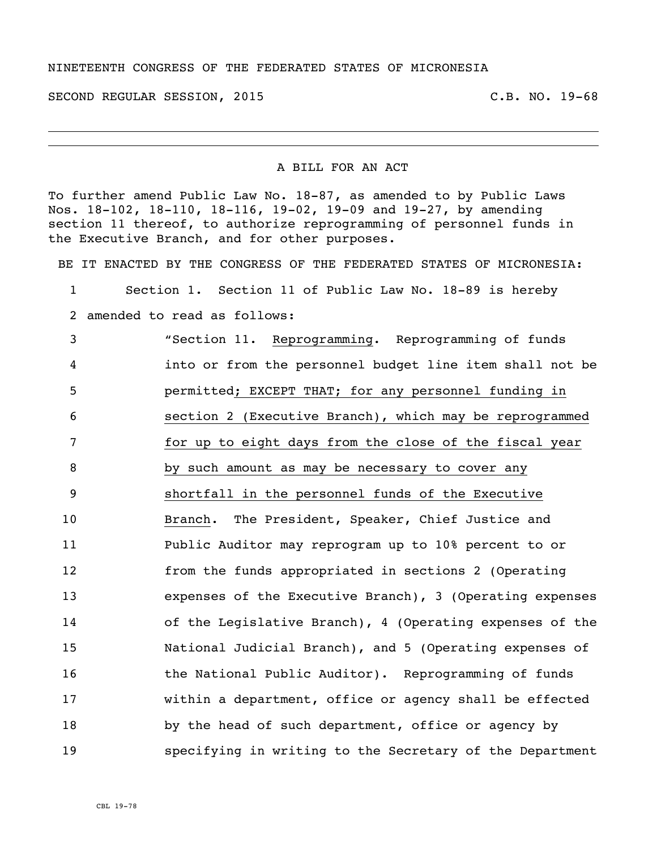## NINETEENTH CONGRESS OF THE FEDERATED STATES OF MICRONESIA

SECOND REGULAR SESSION, 2015 C.B. NO. 19-68

## A BILL FOR AN ACT

To further amend Public Law No. 18-87, as amended to by Public Laws Nos. 18-102, 18-110, 18-116, 19-02, 19-09 and 19-27, by amending section 11 thereof, to authorize reprogramming of personnel funds in the Executive Branch, and for other purposes.

BE IT ENACTED BY THE CONGRESS OF THE FEDERATED STATES OF MICRONESIA:

 Section 1. Section 11 of Public Law No. 18-89 is hereby amended to read as follows: "Section 11. Reprogramming. Reprogramming of funds into or from the personnel budget line item shall not be permitted; EXCEPT THAT; for any personnel funding in section 2 (Executive Branch), which may be reprogrammed for up to eight days from the close of the fiscal year by such amount as may be necessary to cover any shortfall in the personnel funds of the Executive Branch. The President, Speaker, Chief Justice and Public Auditor may reprogram up to 10% percent to or from the funds appropriated in sections 2 (Operating expenses of the Executive Branch), 3 (Operating expenses of the Legislative Branch), 4 (Operating expenses of the National Judicial Branch), and 5 (Operating expenses of **the National Public Auditor).** Reprogramming of funds within a department, office or agency shall be effected by the head of such department, office or agency by specifying in writing to the Secretary of the Department